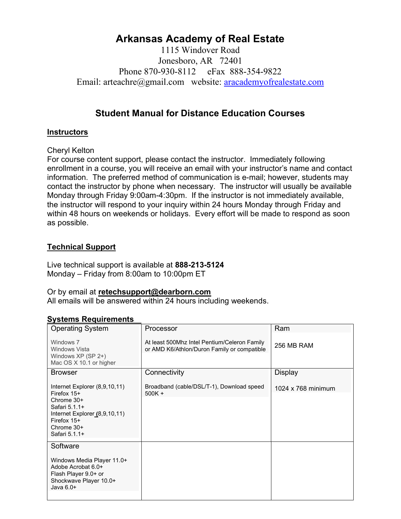# Arkansas Academy of Real Estate

1115 Windover Road Jonesboro, AR 72401 Phone 870-930-8112 eFax 888-354-9822 Email: arteachre@gmail.com website: aracademyofrealestate.com

# Student Manual for Distance Education Courses

# **Instructors**

### Cheryl Kelton

For course content support, please contact the instructor. Immediately following enrollment in a course, you will receive an email with your instructor's name and contact information. The preferred method of communication is e-mail; however, students may contact the instructor by phone when necessary. The instructor will usually be available Monday through Friday 9:00am-4:30pm. If the instructor is not immediately available, the instructor will respond to your inquiry within 24 hours Monday through Friday and within 48 hours on weekends or holidays. Every effort will be made to respond as soon as possible.

### Technical Support

Live technical support is available at 888-213-5124 Monday – Friday from 8:00am to 10:00pm ET

#### Or by email at retechsupport@dearborn.com

All emails will be answered within 24 hours including weekends.

| <b>Operating System</b>                                                                                                                                          | Processor                                                                                   | Ram                |
|------------------------------------------------------------------------------------------------------------------------------------------------------------------|---------------------------------------------------------------------------------------------|--------------------|
| Windows 7<br>Windows Vista<br>Windows XP (SP 2+)<br>Mac OS X 10.1 or higher                                                                                      | At least 500Mhz Intel Pentium/Celeron Family<br>or AMD K6/Athlon/Duron Family or compatible | 256 MB RAM         |
| <b>Browser</b>                                                                                                                                                   | Connectivity                                                                                | Display            |
| Internet Explorer (8,9,10,11)<br>Firefox $15+$<br>Chrome $30+$<br>Safari 5.1.1+<br>Internet Explorer (8,9,10,11)<br>Firefox $15+$<br>Chrome 30+<br>Safari 5.1.1+ | Broadband (cable/DSL/T-1), Download speed<br>$500K +$                                       | 1024 x 768 minimum |
| Software<br>Windows Media Player 11.0+<br>Adobe Acrobat 6.0+<br>Flash Player 9.0+ or<br>Shockwave Player 10.0+<br>Java $6.0+$                                    |                                                                                             |                    |

# Systems Requirements